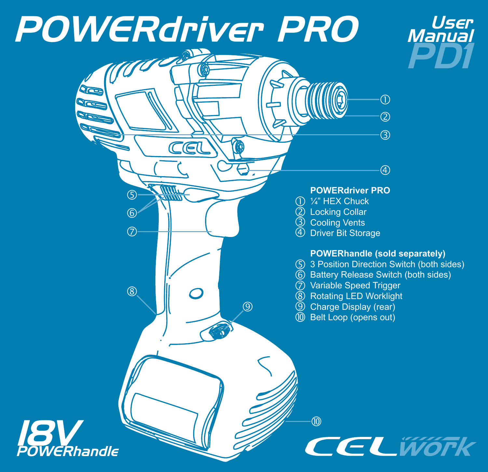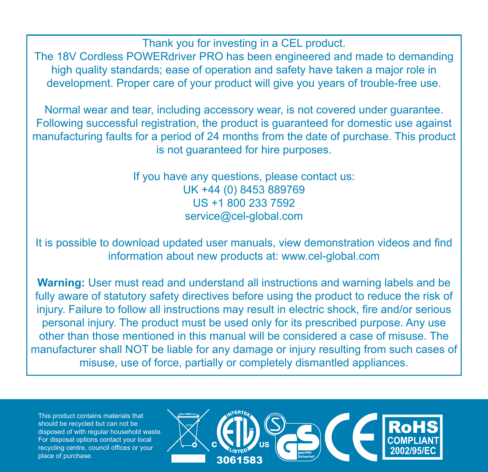Thank you for investing in a CEL product.

The 18V Cordless POWERdriver PRO has been engineered and made to demanding high quality standards; ease of operation and safety have taken a major role in development. Proper care of your product will give you years of trouble-free use.

Normal wear and tear, including accessory wear, is not covered under guarantee. Following successful registration, the product is guaranteed for domestic use against manufacturing faults for a period of 24 months from the date of purchase. This product is not guaranteed for hire purposes.

> If you have any questions, please contact us: UK +44 (0) 8453 889769 US +1 800 233 7592 service@cel-global.com

It is possible to download updated user manuals, view demonstration videos and find information about new products at: www.cel-global.com

**Warning:** User must read and understand all instructions and warning labels and be fully aware of statutory safety directives before using the product to reduce the risk of injury. Failure to follow all instructions may result in electric shock, fire and/or serious personal injury. The product must be used only for its prescribed purpose. Any use other than those mentioned in this manual will be considered a case of misuse. The manufacturer shall NOT be liable for any damage or injury resulting from such cases of misuse, use of force, partially or completely dismantled appliances.

This product contains materials that should be recycled but can not be disposed of with regular household waste. For disposal options contact your local recycling centre, council offices or your<br>place of purchase.

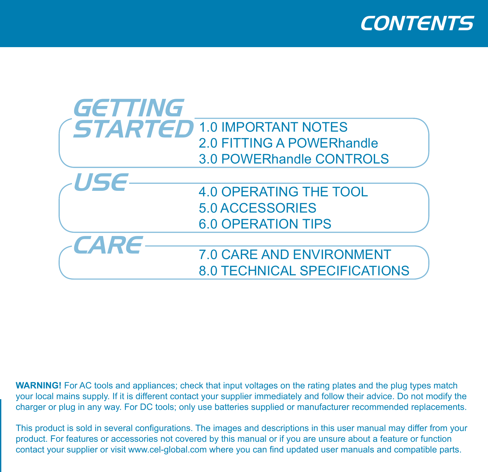



**WARNING!** For AC tools and appliances; check that input voltages on the rating plates and the plug types match your local mains supply. If it is different contact your supplier immediately and follow their advice. Do not modify the charger or plug in any way. For DC tools; only use batteries supplied or manufacturer recommended replacements.

This product is sold in several configurations. The images and descriptions in this user manual may differ from your product. For features or accessories not covered by this manual or if you are unsure about a feature or function contact your supplier or visit www.cel-global.com where you can find updated user manuals and compatible parts.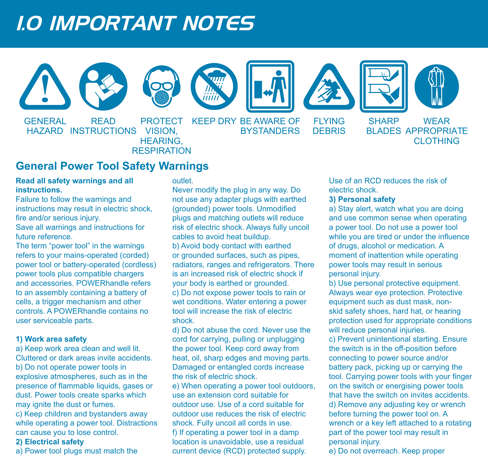## *1.0 IMPORTANT NOTES*















GENERAL HAZARD INSTRUCTIONS VISION, READ

**HEARING RESPIRATION** 

PROTECT KEEP DRY BE AWARE OF **BYSTANDERS** 

**FLYING DEBRIS** 

**SHARP** BLADES APPROPRIATE WEAR **CLOTHING** 

### **General Power Tool Safety Warnings**

#### **Read all safety warnings and all instructions.**

Failure to follow the warnings and instructions may result in electric shock, fire and/or serious injury. Save all warnings and instructions for future reference.

The term "power tool" in the warnings refers to your mains-operated (corded) power tool or battery-operated (cordless) power tools plus compatible chargers and accessories. POWERhandle refers to an assembly containing a battery of cells, a trigger mechanism and other controls. A POWERhandle contains no user serviceable parts.

#### **1) Work area safety**

a) Keep work area clean and well lit. Cluttered or dark areas invite accidents. b) Do not operate power tools in explosive atmospheres, such as in the presence of flammable liquids, gases or dust. Power tools create sparks which may jonite the dust or fumes. c) Keep children and bystanders away

while operating a power tool. Distractions can cause you to lose control.

### **2) Electrical safety**

a) Power tool plugs must match the

#### outlet.

Never modify the plug in any way. Do not use any adapter plugs with earthed (grounded) power tools. Unmodified plugs and matching outlets will reduce risk of electric shock. Always fully uncoil cables to avoid heat buildup. b) Avoid body contact with earthed or grounded surfaces, such as pipes, radiators, ranges and refrigerators. There is an increased risk of electric shock if your body is earthed or grounded. c) Do not expose power tools to rain or wet conditions. Water entering a power

tool will increase the risk of electric shock. d) Do not abuse the cord. Never use the

cord for carrying, pulling or unplugging the power tool. Keep cord away from heat, oil, sharp edges and moving parts. Damaged or entangled cords increase the risk of electric shock.

e) When operating a power tool outdoors, use an extension cord suitable for outdoor use. Use of a cord suitable for outdoor use reduces the risk of electric shock. Fully uncoil all cords in use. f) If operating a power tool in a damp location is unavoidable, use a residual current device (RCD) protected supply.

Use of an RCD reduces the risk of electric shock.

#### **3) Personal safety**

a) Stay alert, watch what you are doing and use common sense when operating a power tool. Do not use a power tool while you are tired or under the influence of drugs, alcohol or medication. A moment of inattention while operating power tools may result in serious personal injury.

b) Use personal protective equipment. Always wear eye protection. Protective equipment such as dust mask, nonskid safety shoes, hard hat, or hearing protection used for appropriate conditions will reduce personal injuries.

c) Prevent unintentional starting. Ensure the switch is in the off-position before connecting to power source and/or battery pack, picking up or carrying the tool. Carrying power tools with your finger on the switch or energising power tools that have the switch on invites accidents. d) Remove any adjusting key or wrench before turning the power tool on. A wrench or a key left attached to a rotating part of the power tool may result in personal injury.

e) Do not overreach. Keep proper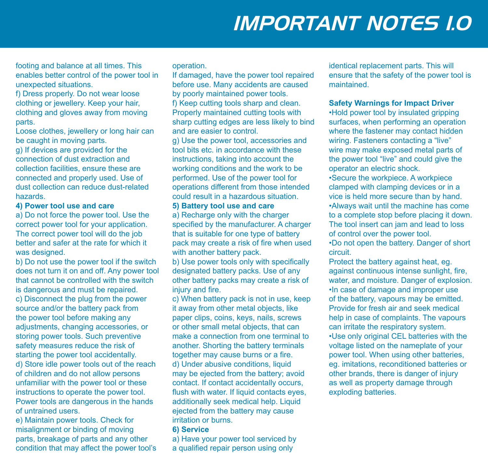## *IMPORTANT NOTES 1.0*

footing and balance at all times. This enables better control of the power tool in unexpected situations.

f) Dress properly. Do not wear loose clothing or jewellery. Keep your hair, clothing and gloves away from moving parts.

Loose clothes, jewellery or long hair can be caught in moving parts. g) If devices are provided for the

connection of dust extraction and collection facilities, ensure these are connected and properly used. Use of dust collection can reduce dust-related hazards.

#### **4) Power tool use and care**

a) Do not force the power tool. Use the correct power tool for your application. The correct power tool will do the job better and safer at the rate for which it was designed.

b) Do not use the power tool if the switch does not turn it on and off. Any power tool that cannot be controlled with the switch is dangerous and must be repaired. c) Disconnect the plug from the power source and/or the battery pack from the power tool before making any adjustments, changing accessories, or storing power tools. Such preventive safety measures reduce the risk of starting the power tool accidentally. d) Store idle power tools out of the reach of children and do not allow persons unfamiliar with the power tool or these instructions to operate the power tool. Power tools are dangerous in the hands of untrained users.

e) Maintain power tools. Check for misalignment or binding of moving parts, breakage of parts and any other condition that may affect the power tool's

#### operation.

If damaged, have the power tool repaired before use. Many accidents are caused by poorly maintained power tools. f) Keep cutting tools sharp and clean. Properly maintained cutting tools with sharp cutting edges are less likely to bind and are easier to control.

g) Use the power tool, accessories and tool bits etc. in accordance with these instructions, taking into account the working conditions and the work to be performed. Use of the power tool for operations different from those intended could result in a hazardous situation.

### **5) Battery tool use and care**

a) Recharge only with the charger specified by the manufacturer. A charger that is suitable for one type of battery pack may create a risk of fire when used with another battery pack.

b) Use power tools only with specifically designated battery packs. Use of any other battery packs may create a risk of injury and fire.

c) When battery pack is not in use, keep it away from other metal objects, like paper clips, coins, keys, nails, screws or other small metal objects, that can make a connection from one terminal to another. Shorting the battery terminals together may cause burns or a fire. d) Under abusive conditions, liquid may be ejected from the battery; avoid contact. If contact accidentally occurs, flush with water. If liquid contacts eyes additionally seek medical help. Liquid ejected from the battery may cause irritation or burns.

#### **6) Service**

a) Have your power tool serviced by a qualified repair person using only

identical replacement parts. This will ensure that the safety of the power tool is maintained.

#### **Safety Warnings for Impact Driver**

•Hold power tool by insulated gripping surfaces, when performing an operation where the fastener may contact hidden wiring. Fasteners contacting a "live" wire may make exposed metal parts of the power tool "live" and could give the operator an electric shock.

•Secure the workpiece. A workpiece clamped with clamping devices or in a vice is held more secure than by hand. •Always wait until the machine has come to a complete stop before placing it down. The tool insert can jam and lead to loss of control over the power tool. •Do not open the battery. Danger of short circuit.

Protect the battery against heat, eg. against continuous intense sunlight, fire, water, and moisture. Danger of explosion. •In case of damage and improper use of the battery, vapours may be emitted. Provide for fresh air and seek medical help in case of complaints. The vapours can irritate the respiratory system. •Use only original CEL batteries with the voltage listed on the nameplate of your power tool. When using other batteries, eg. imitations, reconditioned batteries or other brands, there is danger of injury as well as property damage through exploding batteries.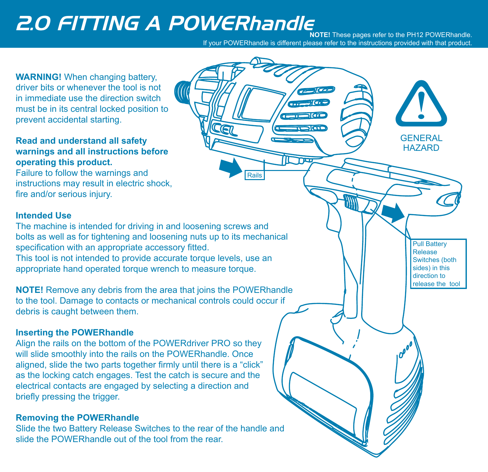## *2.0 FITTING A POWERhandle*

**NOTE!** These pages refer to the PH12 POWERhandle.

Pull Battery Release Switches (both sides) in this direction to release the tool

**GENERAL HAZARD** 

If your POWERhandle is different please refer to the instructions provided with that product.

 $\sqrt{1-\sqrt{1-\frac{1}{2}}}$  $\frac{1}{2}$  $\Box$ **SIGHT** 

 $\overline{\text{max}}$ 

Rails

**WARNING!** When changing battery, driver bits or whenever the tool is not in immediate use the direction switch must be in its central locked position to prevent accidental starting.

### **Read and understand all safety warnings and all instructions before operating this product.**

Failure to follow the warnings and instructions may result in electric shock, fire and/or serious injury.

### **Intended Use**

The machine is intended for driving in and loosening screws and bolts as well as for tightening and loosening nuts up to its mechanical specification with an appropriate accessory fitted. This tool is not intended to provide accurate torque levels, use an appropriate hand operated torque wrench to measure torque.

**NOTE!** Remove any debris from the area that joins the POWERhandle to the tool. Damage to contacts or mechanical controls could occur if debris is caught between them.

### **Inserting the POWERhandle**

Align the rails on the bottom of the POWERdriver PRO so they will slide smoothly into the rails on the POWERhandle. Once aligned, slide the two parts together firmly until there is a "click" as the locking catch engages. Test the catch is secure and the electrical contacts are engaged by selecting a direction and briefly pressing the trigger.

### **Removing the POWERhandle**

Slide the two Battery Release Switches to the rear of the handle and slide the POWERhandle out of the tool from the rear.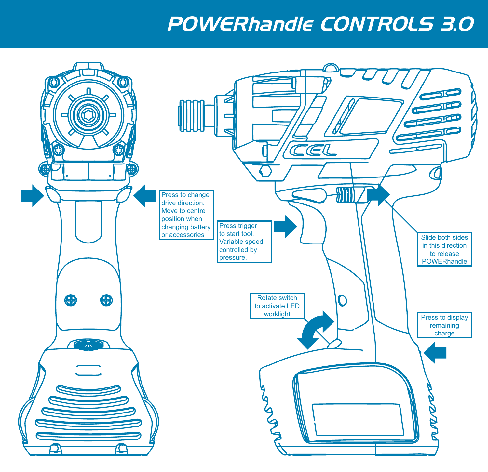# *POWERhandle CONTROLS 3.0*

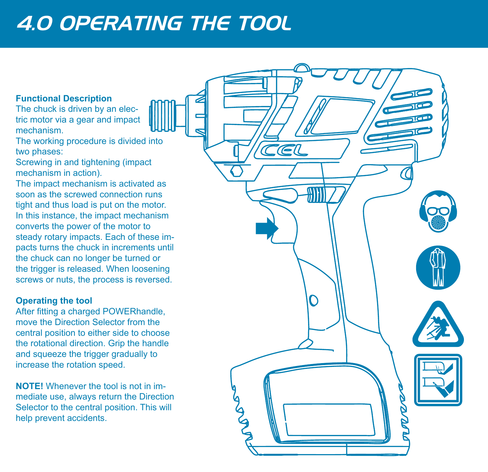## *4.0 OPERATING THE TOOL*

### **Functional Description**

The chuck is driven by an electric motor via a gear and impact mechanism.

The working procedure is divided into two phases:

Screwing in and tightening (impact mechanism in action).

The impact mechanism is activated as soon as the screwed connection runs tight and thus load is put on the motor. In this instance, the impact mechanism converts the power of the motor to steady rotary impacts. Each of these impacts turns the chuck in increments until the chuck can no longer be turned or the trigger is released. When loosening screws or nuts, the process is reversed.

### **Operating the tool**

After fitting a charged POWERhandle. move the Direction Selector from the central position to either side to choose the rotational direction. Grip the handle and squeeze the trigger gradually to increase the rotation speed.

**NOTE!** Whenever the tool is not in immediate use, always return the Direction Selector to the central position. This will help prevent accidents.

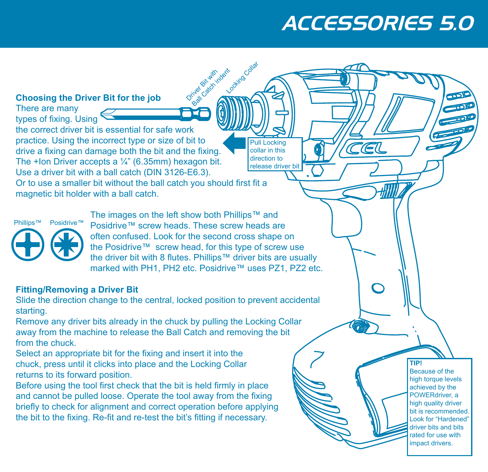## *ACCESSORIES 5.0*

TEI

### **Choosing the Driver Bit for the job**

There are many types of fixing. Using the correct driver bit is essential for safe work practice. Using the incorrect type or size of bit to drive a fixing can damage both the bit and the fixing. The +Ion Driver accepts a ¼" (6.35mm) hexagon bit. Use a driver bit with a ball catch (DIN 3126-E6.3). Or to use a smaller bit without the ball catch you should first fit a magnetic bit holder with a ball catch. Oriver Bit with dent



The images on the left show both Phillips™ and Posidrive™ screw heads. These screw heads are often confused. Look for the second cross shape on the Posidrive™ screw head, for this type of screw use the driver bit with 8 flutes. Phillips™ driver bits are usually marked with PH1, PH2 etc. Posidrive™ uses PZ1, PZ2 etc.

Locking Collar

Pull Locking collar in this direction to release driver bit

### **Fitting/Removing a Driver Bit**

Slide the direction change to the central, locked position to prevent accidental starting.

Remove any driver bits already in the chuck by pulling the Locking Collar away from the machine to release the Ball Catch and removing the bit from the chuck.

Select an appropriate bit for the fixing and insert it into the chuck, press until it clicks into place and the Locking Collar returns to its forward position.

Before using the tool first check that the bit is held firmly in place and cannot be pulled loose. Operate the tool away from the fixing briefly to check for alignment and correct operation before applying the bit to the fixing. Re-fit and re-test the bit's fitting if necessary.

Because of the high torque levels achieved by the POWERdriver, a high quality driver bit is recommended. Look for "Hardened" driver bits and bits rated for use with impact drivers.

 $\overline{CD}$ 

**TIP!**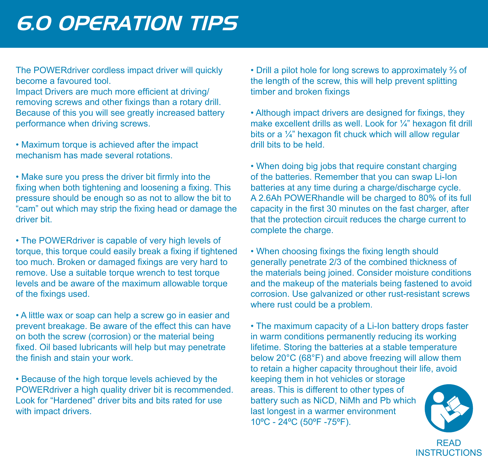## *6.0 OPERATION TIPS*

The POWERdriver cordless impact driver will quickly become a favoured tool.

Impact Drivers are much more efficient at driving/ removing screws and other fixings than a rotary drill. Because of this you will see greatly increased battery performance when driving screws.

• Maximum torque is achieved after the impact mechanism has made several rotations.

• Make sure you press the driver bit firmly into the fixing when both tightening and loosening a fixing. This pressure should be enough so as not to allow the bit to "cam" out which may strip the fixing head or damage the driver bit.

• The POWERdriver is capable of very high levels of torque, this torque could easily break a fixing if tightened too much. Broken or damaged fixings are very hard to remove. Use a suitable torque wrench to test torque levels and be aware of the maximum allowable torque of the fixings used.

• A little wax or soap can help a screw go in easier and prevent breakage. Be aware of the effect this can have on both the screw (corrosion) or the material being fixed. Oil based lubricants will help but may penetrate the finish and stain your work.

• Because of the high torque levels achieved by the POWERdriver a high quality driver bit is recommended. Look for "Hardened" driver bits and bits rated for use with impact drivers.

• Drill a pilot hole for long screws to approximately ⅔ of the length of the screw, this will help prevent splitting timber and broken fixings

• Although impact drivers are designed for fixings, they make excellent drills as well. Look for 1/4" hexagon fit drill bits or a ¼" hexagon fit chuck which will allow regular drill bits to be held.

• When doing big jobs that require constant charging of the batteries. Remember that you can swap Li-Ion batteries at any time during a charge/discharge cycle. A 2.6Ah POWERhandle will be charged to 80% of its full capacity in the first 30 minutes on the fast charger, after that the protection circuit reduces the charge current to complete the charge.

• When choosing fixings the fixing length should generally penetrate 2/3 of the combined thickness of the materials being joined. Consider moisture conditions and the makeup of the materials being fastened to avoid corrosion. Use galvanized or other rust-resistant screws where rust could be a problem.

• The maximum capacity of a Li-Ion battery drops faster in warm conditions permanently reducing its working lifetime. Storing the batteries at a stable temperature below 20°C (68°F) and above freezing will allow them to retain a higher capacity throughout their life, avoid keeping them in hot vehicles or storage areas. This is different to other types of battery such as NiCD, NiMh and Pb which last longest in a warmer environment 10ºC - 24ºC (50ºF -75ºF).



**READ** INSTRUCTIONS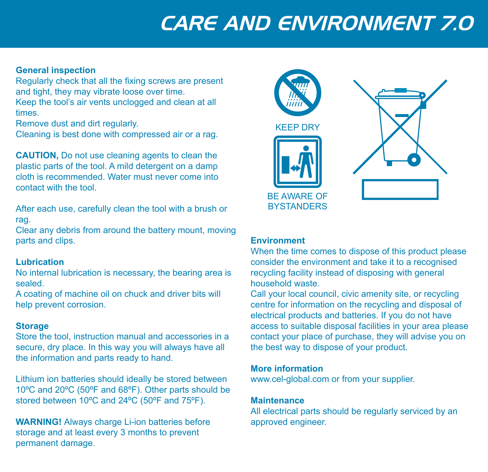## *CARE AND ENVIRONMENT 7.0*

### **General inspection**

Regularly check that all the fixing screws are present and tight, they may vibrate loose over time. Keep the tool's air vents unclogged and clean at all times.

Remove dust and dirt regularly.

Cleaning is best done with compressed air or a rag.

**CAUTION,** Do not use cleaning agents to clean the plastic parts of the tool. A mild detergent on a damp cloth is recommended. Water must never come into contact with the tool.

After each use, carefully clean the tool with a brush or rag.

Clear any debris from around the battery mount, moving parts and clips.

### **Lubrication**

No internal lubrication is necessary, the bearing area is sealed.

A coating of machine oil on chuck and driver bits will help prevent corrosion.

### **Storage**

Store the tool, instruction manual and accessories in a secure, dry place. In this way you will always have all the information and parts ready to hand.

Lithium ion batteries should ideally be stored between 10ºC and 20ºC (50ºF and 68ºF). Other parts should be stored between 10ºC and 24ºC (50ºF and 75ºF).

**WARNING!** Always charge Li-ion batteries before storage and at least every 3 months to prevent permanent damage.



### **Environment**

When the time comes to dispose of this product please consider the environment and take it to a recognised recycling facility instead of disposing with general household waste.

Call your local council, civic amenity site, or recycling centre for information on the recycling and disposal of electrical products and batteries. If you do not have access to suitable disposal facilities in your area please contact your place of purchase, they will advise you on the best way to dispose of your product.

### **More information**

www.cel-global.com or from your supplier.

### **Maintenance**

All electrical parts should be regularly serviced by an approved engineer.